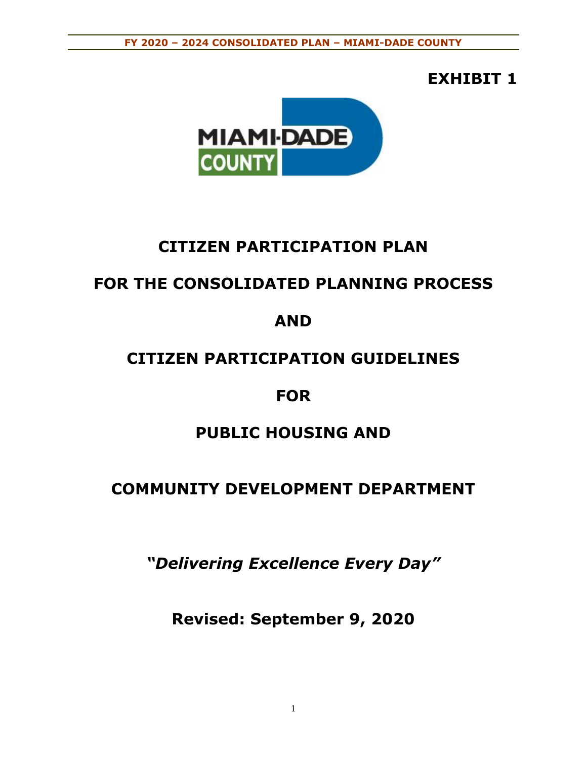# **EXHIBIT 1**



# **CITIZEN PARTICIPATION PLAN**

# **FOR THE CONSOLIDATED PLANNING PROCESS**

# **AND**

# **CITIZEN PARTICIPATION GUIDELINES**

# **FOR**

# **PUBLIC HOUSING AND**

# **COMMUNITY DEVELOPMENT DEPARTMENT**

*"Delivering Excellence Every Day"*

**Revised: September 9, 2020**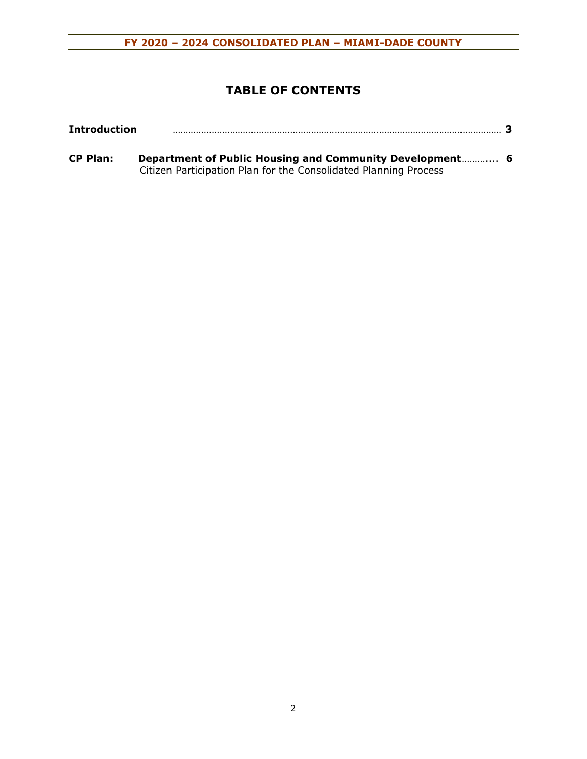# **TABLE OF CONTENTS**

| <b>Introduction</b> |                                                                  |  |
|---------------------|------------------------------------------------------------------|--|
| <b>CP Plan:</b>     | Department of Public Housing and Community Development 6         |  |
|                     | Citizen Participation Plan for the Consolidated Planning Process |  |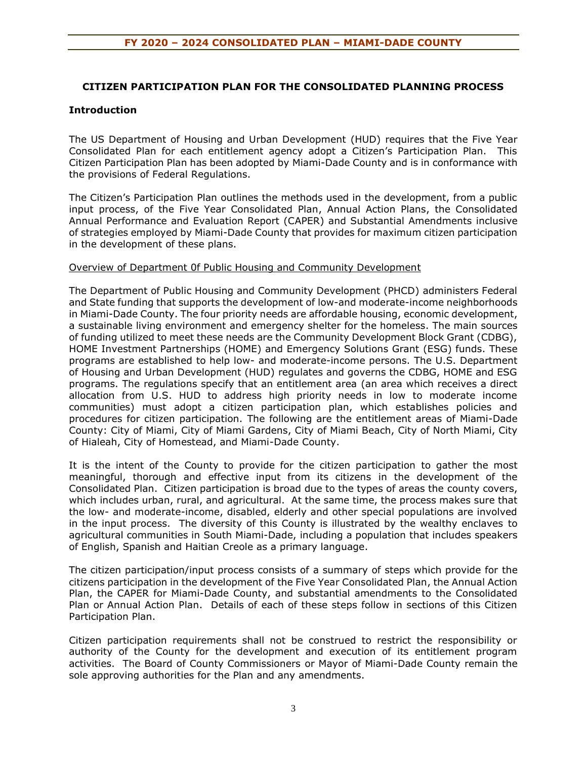# **CITIZEN PARTICIPATION PLAN FOR THE CONSOLIDATED PLANNING PROCESS**

#### **Introduction**

The US Department of Housing and Urban Development (HUD) requires that the Five Year Consolidated Plan for each entitlement agency adopt a Citizen's Participation Plan. This Citizen Participation Plan has been adopted by Miami-Dade County and is in conformance with the provisions of Federal Regulations.

The Citizen's Participation Plan outlines the methods used in the development, from a public input process, of the Five Year Consolidated Plan, Annual Action Plans, the Consolidated Annual Performance and Evaluation Report (CAPER) and Substantial Amendments inclusive of strategies employed by Miami-Dade County that provides for maximum citizen participation in the development of these plans.

#### Overview of Department 0f Public Housing and Community Development

The Department of Public Housing and Community Development (PHCD) administers Federal and State funding that supports the development of low-and moderate-income neighborhoods in Miami-Dade County. The four priority needs are affordable housing, economic development, a sustainable living environment and emergency shelter for the homeless. The main sources of funding utilized to meet these needs are the Community Development Block Grant (CDBG), HOME Investment Partnerships (HOME) and Emergency Solutions Grant (ESG) funds. These programs are established to help low- and moderate-income persons. The U.S. Department of Housing and Urban Development (HUD) regulates and governs the CDBG, HOME and ESG programs. The regulations specify that an entitlement area (an area which receives a direct allocation from U.S. HUD to address high priority needs in low to moderate income communities) must adopt a citizen participation plan, which establishes policies and procedures for citizen participation. The following are the entitlement areas of Miami-Dade County: City of Miami, City of Miami Gardens, City of Miami Beach, City of North Miami, City of Hialeah, City of Homestead, and Miami-Dade County.

It is the intent of the County to provide for the citizen participation to gather the most meaningful, thorough and effective input from its citizens in the development of the Consolidated Plan. Citizen participation is broad due to the types of areas the county covers, which includes urban, rural, and agricultural. At the same time, the process makes sure that the low- and moderate-income, disabled, elderly and other special populations are involved in the input process. The diversity of this County is illustrated by the wealthy enclaves to agricultural communities in South Miami-Dade, including a population that includes speakers of English, Spanish and Haitian Creole as a primary language.

The citizen participation/input process consists of a summary of steps which provide for the citizens participation in the development of the Five Year Consolidated Plan, the Annual Action Plan, the CAPER for Miami-Dade County, and substantial amendments to the Consolidated Plan or Annual Action Plan. Details of each of these steps follow in sections of this Citizen Participation Plan.

Citizen participation requirements shall not be construed to restrict the responsibility or authority of the County for the development and execution of its entitlement program activities. The Board of County Commissioners or Mayor of Miami-Dade County remain the sole approving authorities for the Plan and any amendments.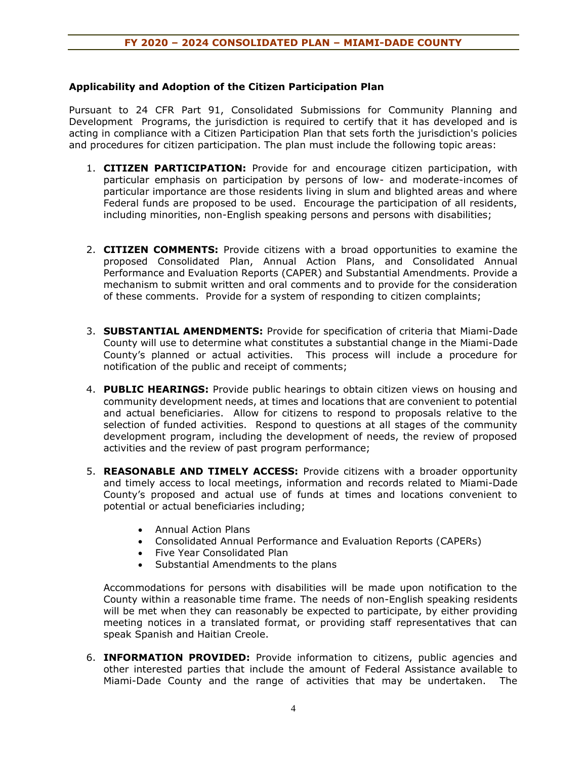#### **Applicability and Adoption of the Citizen Participation Plan**

Pursuant to 24 CFR Part 91, Consolidated Submissions for Community Planning and Development Programs, the jurisdiction is required to certify that it has developed and is acting in compliance with a Citizen Participation Plan that sets forth the jurisdiction's policies and procedures for citizen participation. The plan must include the following topic areas:

- 1. **CITIZEN PARTICIPATION:** Provide for and encourage citizen participation, with particular emphasis on participation by persons of low- and moderate-incomes of particular importance are those residents living in slum and blighted areas and where Federal funds are proposed to be used. Encourage the participation of all residents, including minorities, non-English speaking persons and persons with disabilities;
- 2. **CITIZEN COMMENTS:** Provide citizens with a broad opportunities to examine the proposed Consolidated Plan, Annual Action Plans, and Consolidated Annual Performance and Evaluation Reports (CAPER) and Substantial Amendments. Provide a mechanism to submit written and oral comments and to provide for the consideration of these comments. Provide for a system of responding to citizen complaints;
- 3. **SUBSTANTIAL AMENDMENTS:** Provide for specification of criteria that Miami-Dade County will use to determine what constitutes a substantial change in the Miami-Dade County's planned or actual activities. This process will include a procedure for notification of the public and receipt of comments;
- 4. **PUBLIC HEARINGS:** Provide public hearings to obtain citizen views on housing and community development needs, at times and locations that are convenient to potential and actual beneficiaries. Allow for citizens to respond to proposals relative to the selection of funded activities. Respond to questions at all stages of the community development program, including the development of needs, the review of proposed activities and the review of past program performance;
- 5. **REASONABLE AND TIMELY ACCESS:** Provide citizens with a broader opportunity and timely access to local meetings, information and records related to Miami-Dade County's proposed and actual use of funds at times and locations convenient to potential or actual beneficiaries including;
	- Annual Action Plans
	- Consolidated Annual Performance and Evaluation Reports (CAPERs)
	- Five Year Consolidated Plan
	- Substantial Amendments to the plans

Accommodations for persons with disabilities will be made upon notification to the County within a reasonable time frame. The needs of non-English speaking residents will be met when they can reasonably be expected to participate, by either providing meeting notices in a translated format, or providing staff representatives that can speak Spanish and Haitian Creole.

6. **INFORMATION PROVIDED:** Provide information to citizens, public agencies and other interested parties that include the amount of Federal Assistance available to Miami-Dade County and the range of activities that may be undertaken. The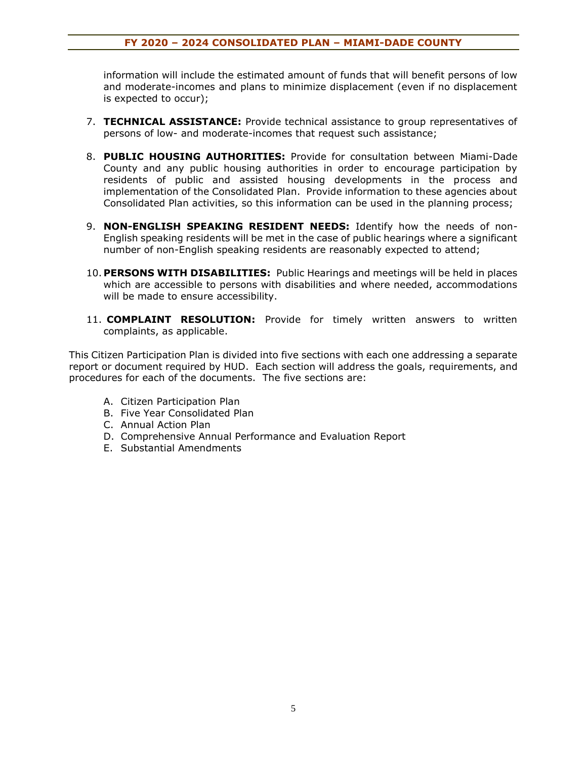information will include the estimated amount of funds that will benefit persons of low and moderate-incomes and plans to minimize displacement (even if no displacement is expected to occur);

- 7. **TECHNICAL ASSISTANCE:** Provide technical assistance to group representatives of persons of low- and moderate-incomes that request such assistance;
- 8. **PUBLIC HOUSING AUTHORITIES:** Provide for consultation between Miami-Dade County and any public housing authorities in order to encourage participation by residents of public and assisted housing developments in the process and implementation of the Consolidated Plan. Provide information to these agencies about Consolidated Plan activities, so this information can be used in the planning process;
- 9. **NON-ENGLISH SPEAKING RESIDENT NEEDS:** Identify how the needs of non-English speaking residents will be met in the case of public hearings where a significant number of non-English speaking residents are reasonably expected to attend;
- 10. **PERSONS WITH DISABILITIES:** Public Hearings and meetings will be held in places which are accessible to persons with disabilities and where needed, accommodations will be made to ensure accessibility.
- 11. **COMPLAINT RESOLUTION:** Provide for timely written answers to written complaints, as applicable.

This Citizen Participation Plan is divided into five sections with each one addressing a separate report or document required by HUD. Each section will address the goals, requirements, and procedures for each of the documents. The five sections are:

- A. Citizen Participation Plan
- B. Five Year Consolidated Plan
- C. Annual Action Plan
- D. Comprehensive Annual Performance and Evaluation Report
- E. Substantial Amendments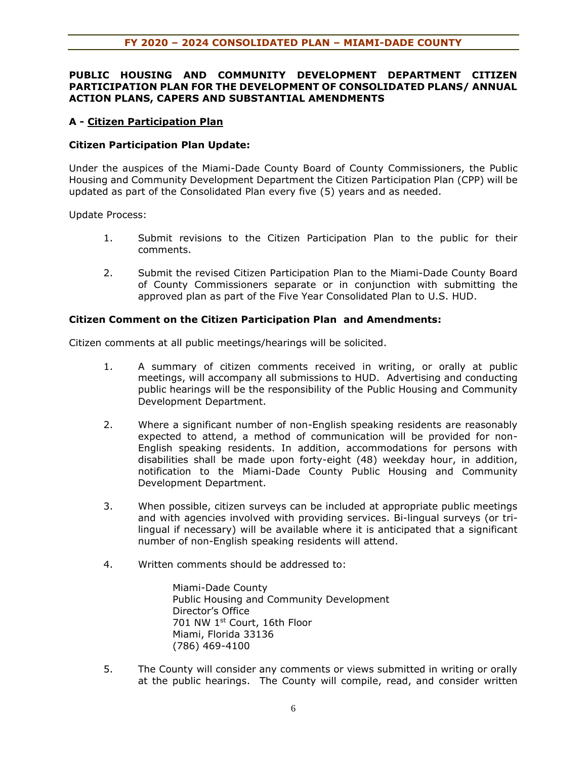### **PUBLIC HOUSING AND COMMUNITY DEVELOPMENT DEPARTMENT CITIZEN PARTICIPATION PLAN FOR THE DEVELOPMENT OF CONSOLIDATED PLANS/ ANNUAL ACTION PLANS, CAPERS AND SUBSTANTIAL AMENDMENTS**

### **A - Citizen Participation Plan**

#### **Citizen Participation Plan Update:**

Under the auspices of the Miami-Dade County Board of County Commissioners, the Public Housing and Community Development Department the Citizen Participation Plan (CPP) will be updated as part of the Consolidated Plan every five (5) years and as needed.

Update Process:

- 1. Submit revisions to the Citizen Participation Plan to the public for their comments.
- 2. Submit the revised Citizen Participation Plan to the Miami-Dade County Board of County Commissioners separate or in conjunction with submitting the approved plan as part of the Five Year Consolidated Plan to U.S. HUD.

#### **Citizen Comment on the Citizen Participation Plan and Amendments:**

Citizen comments at all public meetings/hearings will be solicited.

- 1. A summary of citizen comments received in writing, or orally at public meetings, will accompany all submissions to HUD. Advertising and conducting public hearings will be the responsibility of the Public Housing and Community Development Department.
- 2. Where a significant number of non-English speaking residents are reasonably expected to attend, a method of communication will be provided for non-English speaking residents. In addition, accommodations for persons with disabilities shall be made upon forty-eight (48) weekday hour, in addition, notification to the Miami-Dade County Public Housing and Community Development Department.
- 3. When possible, citizen surveys can be included at appropriate public meetings and with agencies involved with providing services. Bi-lingual surveys (or trilingual if necessary) will be available where it is anticipated that a significant number of non-English speaking residents will attend.
- 4. Written comments should be addressed to:

Miami-Dade County Public Housing and Community Development Director's Office 701 NW 1st Court, 16th Floor Miami, Florida 33136 (786) 469-4100

5. The County will consider any comments or views submitted in writing or orally at the public hearings. The County will compile, read, and consider written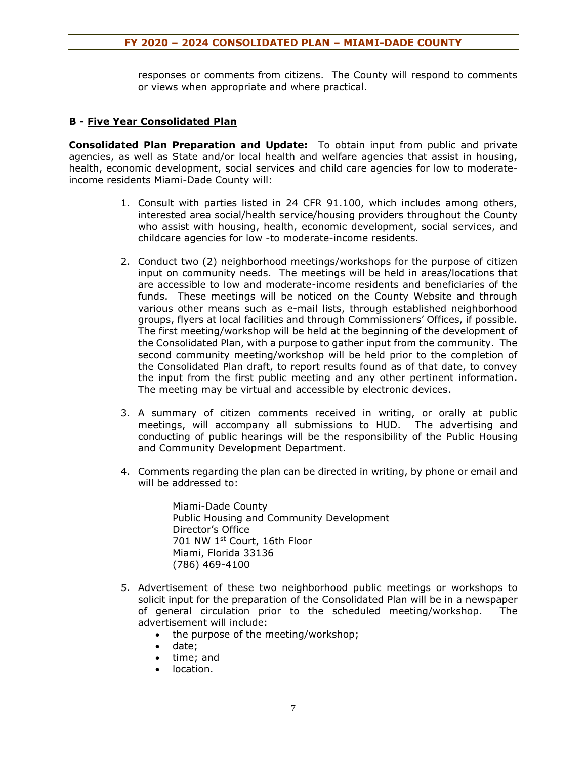responses or comments from citizens. The County will respond to comments or views when appropriate and where practical.

### **B - Five Year Consolidated Plan**

**Consolidated Plan Preparation and Update:** To obtain input from public and private agencies, as well as State and/or local health and welfare agencies that assist in housing, health, economic development, social services and child care agencies for low to moderateincome residents Miami-Dade County will:

- 1. Consult with parties listed in 24 CFR 91.100, which includes among others, interested area social/health service/housing providers throughout the County who assist with housing, health, economic development, social services, and childcare agencies for low -to moderate-income residents.
- 2. Conduct two (2) neighborhood meetings/workshops for the purpose of citizen input on community needs. The meetings will be held in areas/locations that are accessible to low and moderate-income residents and beneficiaries of the funds. These meetings will be noticed on the County Website and through various other means such as e-mail lists, through established neighborhood groups, flyers at local facilities and through Commissioners' Offices, if possible. The first meeting/workshop will be held at the beginning of the development of the Consolidated Plan, with a purpose to gather input from the community. The second community meeting/workshop will be held prior to the completion of the Consolidated Plan draft, to report results found as of that date, to convey the input from the first public meeting and any other pertinent information. The meeting may be virtual and accessible by electronic devices.
- 3. A summary of citizen comments received in writing, or orally at public meetings, will accompany all submissions to HUD. The advertising and conducting of public hearings will be the responsibility of the Public Housing and Community Development Department.
- 4. Comments regarding the plan can be directed in writing, by phone or email and will be addressed to:

Miami-Dade County Public Housing and Community Development Director's Office 701 NW 1st Court, 16th Floor Miami, Florida 33136 (786) 469-4100

- 5. Advertisement of these two neighborhood public meetings or workshops to solicit input for the preparation of the Consolidated Plan will be in a newspaper of general circulation prior to the scheduled meeting/workshop. The advertisement will include:
	- the purpose of the meeting/workshop;
	- date;
	- time; and
	- location.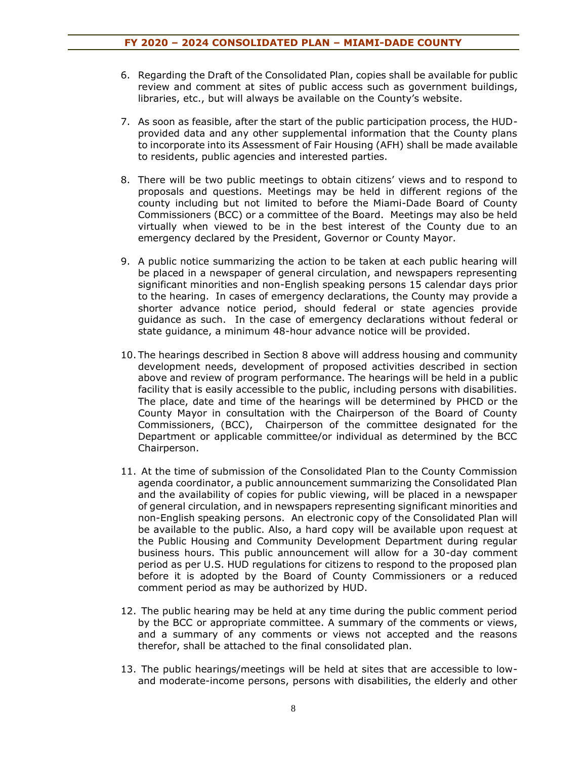- 6. Regarding the Draft of the Consolidated Plan, copies shall be available for public review and comment at sites of public access such as government buildings, libraries, etc., but will always be available on the County's website.
- 7. As soon as feasible, after the start of the public participation process, the HUDprovided data and any other supplemental information that the County plans to incorporate into its Assessment of Fair Housing (AFH) shall be made available to residents, public agencies and interested parties.
- 8. There will be two public meetings to obtain citizens' views and to respond to proposals and questions. Meetings may be held in different regions of the county including but not limited to before the Miami-Dade Board of County Commissioners (BCC) or a committee of the Board. Meetings may also be held virtually when viewed to be in the best interest of the County due to an emergency declared by the President, Governor or County Mayor.
- 9. A public notice summarizing the action to be taken at each public hearing will be placed in a newspaper of general circulation, and newspapers representing significant minorities and non-English speaking persons 15 calendar days prior to the hearing. In cases of emergency declarations, the County may provide a shorter advance notice period, should federal or state agencies provide guidance as such. In the case of emergency declarations without federal or state guidance, a minimum 48-hour advance notice will be provided.
- 10. The hearings described in Section 8 above will address housing and community development needs, development of proposed activities described in section above and review of program performance. The hearings will be held in a public facility that is easily accessible to the public, including persons with disabilities. The place, date and time of the hearings will be determined by PHCD or the County Mayor in consultation with the Chairperson of the Board of County Commissioners, (BCC), Chairperson of the committee designated for the Department or applicable committee/or individual as determined by the BCC Chairperson.
- 11. At the time of submission of the Consolidated Plan to the County Commission agenda coordinator, a public announcement summarizing the Consolidated Plan and the availability of copies for public viewing, will be placed in a newspaper of general circulation, and in newspapers representing significant minorities and non-English speaking persons. An electronic copy of the Consolidated Plan will be available to the public. Also, a hard copy will be available upon request at the Public Housing and Community Development Department during regular business hours. This public announcement will allow for a 30-day comment period as per U.S. HUD regulations for citizens to respond to the proposed plan before it is adopted by the Board of County Commissioners or a reduced comment period as may be authorized by HUD.
- 12. The public hearing may be held at any time during the public comment period by the BCC or appropriate committee. A summary of the comments or views, and a summary of any comments or views not accepted and the reasons therefor, shall be attached to the final consolidated plan.
- 13. The public hearings/meetings will be held at sites that are accessible to lowand moderate-income persons, persons with disabilities, the elderly and other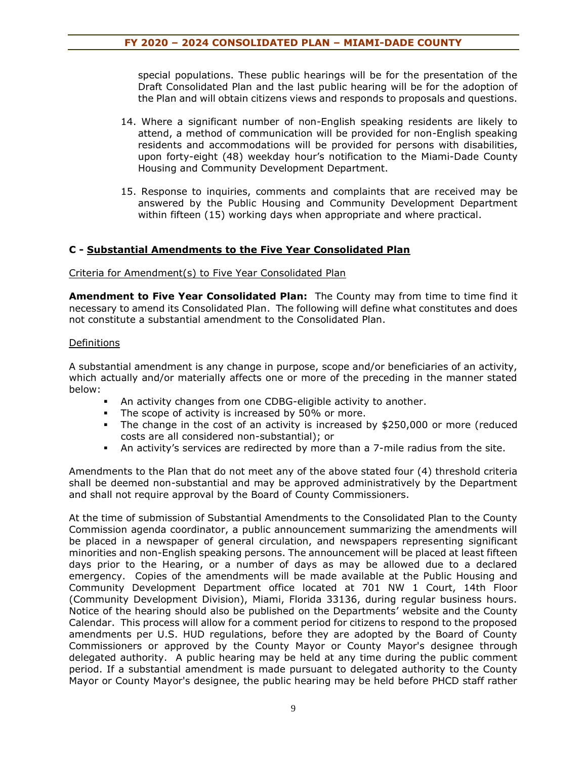special populations. These public hearings will be for the presentation of the Draft Consolidated Plan and the last public hearing will be for the adoption of the Plan and will obtain citizens views and responds to proposals and questions.

- 14. Where a significant number of non-English speaking residents are likely to attend, a method of communication will be provided for non-English speaking residents and accommodations will be provided for persons with disabilities, upon forty-eight (48) weekday hour's notification to the Miami-Dade County Housing and Community Development Department.
- 15. Response to inquiries, comments and complaints that are received may be answered by the Public Housing and Community Development Department within fifteen (15) working days when appropriate and where practical.

# **C - Substantial Amendments to the Five Year Consolidated Plan**

Criteria for Amendment(s) to Five Year Consolidated Plan

**Amendment to Five Year Consolidated Plan:** The County may from time to time find it necessary to amend its Consolidated Plan. The following will define what constitutes and does not constitute a substantial amendment to the Consolidated Plan.

#### **Definitions**

A substantial amendment is any change in purpose, scope and/or beneficiaries of an activity, which actually and/or materially affects one or more of the preceding in the manner stated below:

- An activity changes from one CDBG-eligible activity to another.
- **•** The scope of activity is increased by 50% or more.
- The change in the cost of an activity is increased by \$250,000 or more (reduced costs are all considered non-substantial); or
- An activity's services are redirected by more than a 7-mile radius from the site.

Amendments to the Plan that do not meet any of the above stated four (4) threshold criteria shall be deemed non-substantial and may be approved administratively by the Department and shall not require approval by the Board of County Commissioners.

At the time of submission of Substantial Amendments to the Consolidated Plan to the County Commission agenda coordinator, a public announcement summarizing the amendments will be placed in a newspaper of general circulation, and newspapers representing significant minorities and non-English speaking persons. The announcement will be placed at least fifteen days prior to the Hearing, or a number of days as may be allowed due to a declared emergency. Copies of the amendments will be made available at the Public Housing and Community Development Department office located at 701 NW 1 Court, 14th Floor (Community Development Division), Miami, Florida 33136, during regular business hours. Notice of the hearing should also be published on the Departments' website and the County Calendar. This process will allow for a comment period for citizens to respond to the proposed amendments per U.S. HUD regulations, before they are adopted by the Board of County Commissioners or approved by the County Mayor or County Mayor's designee through delegated authority. A public hearing may be held at any time during the public comment period. If a substantial amendment is made pursuant to delegated authority to the County Mayor or County Mayor's designee, the public hearing may be held before PHCD staff rather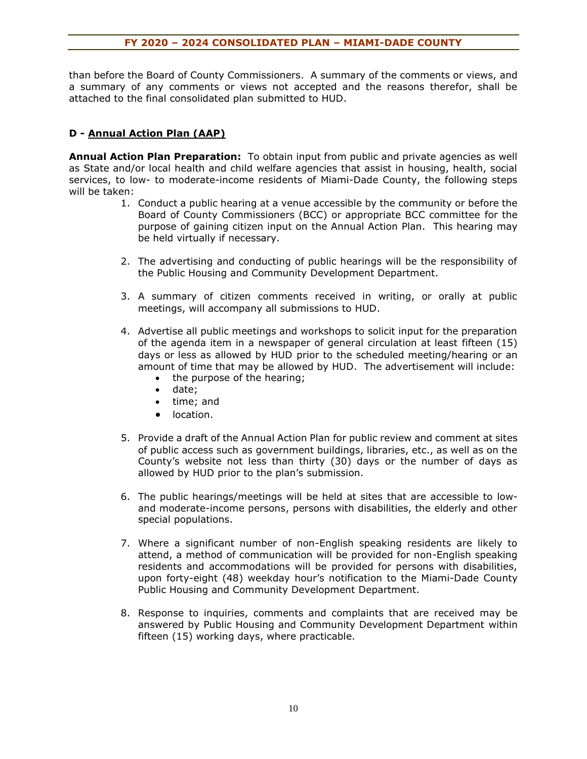than before the Board of County Commissioners. A summary of the comments or views, and a summary of any comments or views not accepted and the reasons therefor, shall be attached to the final consolidated plan submitted to HUD.

# **D - Annual Action Plan (AAP)**

**Annual Action Plan Preparation:** To obtain input from public and private agencies as well as State and/or local health and child welfare agencies that assist in housing, health, social services, to low- to moderate-income residents of Miami-Dade County, the following steps will be taken:

- 1. Conduct a public hearing at a venue accessible by the community or before the Board of County Commissioners (BCC) or appropriate BCC committee for the purpose of gaining citizen input on the Annual Action Plan. This hearing may be held virtually if necessary.
- 2. The advertising and conducting of public hearings will be the responsibility of the Public Housing and Community Development Department.
- 3. A summary of citizen comments received in writing, or orally at public meetings, will accompany all submissions to HUD.
- 4. Advertise all public meetings and workshops to solicit input for the preparation of the agenda item in a newspaper of general circulation at least fifteen (15) days or less as allowed by HUD prior to the scheduled meeting/hearing or an amount of time that may be allowed by HUD. The advertisement will include:
	- the purpose of the hearing;
	- date;
	- time; and
	- location.
- 5. Provide a draft of the Annual Action Plan for public review and comment at sites of public access such as government buildings, libraries, etc., as well as on the County's website not less than thirty (30) days or the number of days as allowed by HUD prior to the plan's submission.
- 6. The public hearings/meetings will be held at sites that are accessible to lowand moderate-income persons, persons with disabilities, the elderly and other special populations.
- 7. Where a significant number of non-English speaking residents are likely to attend, a method of communication will be provided for non-English speaking residents and accommodations will be provided for persons with disabilities, upon forty-eight (48) weekday hour's notification to the Miami-Dade County Public Housing and Community Development Department.
- 8. Response to inquiries, comments and complaints that are received may be answered by Public Housing and Community Development Department within fifteen (15) working days, where practicable.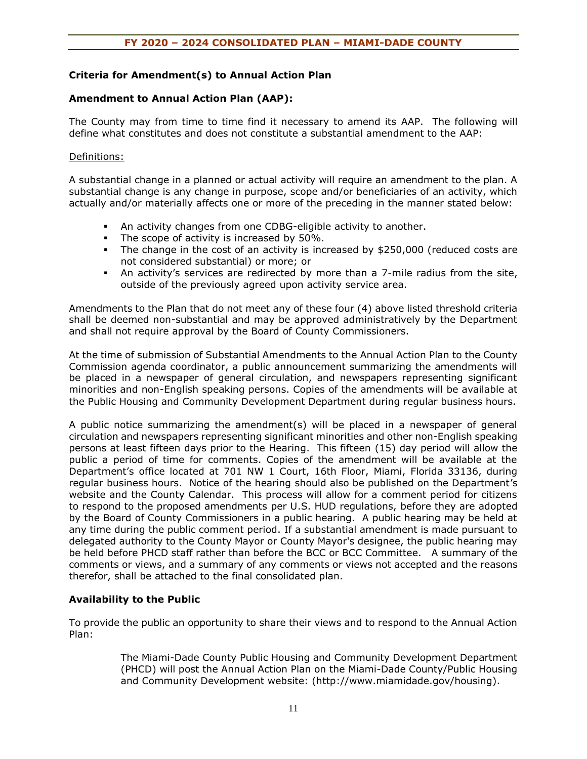#### **Criteria for Amendment(s) to Annual Action Plan**

#### **Amendment to Annual Action Plan (AAP):**

The County may from time to time find it necessary to amend its AAP. The following will define what constitutes and does not constitute a substantial amendment to the AAP:

#### Definitions:

A substantial change in a planned or actual activity will require an amendment to the plan. A substantial change is any change in purpose, scope and/or beneficiaries of an activity, which actually and/or materially affects one or more of the preceding in the manner stated below:

- An activity changes from one CDBG-eligible activity to another.
- **•** The scope of activity is increased by  $50\%$ .
- The change in the cost of an activity is increased by \$250,000 (reduced costs are not considered substantial) or more; or
- An activity's services are redirected by more than a 7-mile radius from the site, outside of the previously agreed upon activity service area.

Amendments to the Plan that do not meet any of these four (4) above listed threshold criteria shall be deemed non-substantial and may be approved administratively by the Department and shall not require approval by the Board of County Commissioners.

At the time of submission of Substantial Amendments to the Annual Action Plan to the County Commission agenda coordinator, a public announcement summarizing the amendments will be placed in a newspaper of general circulation, and newspapers representing significant minorities and non-English speaking persons. Copies of the amendments will be available at the Public Housing and Community Development Department during regular business hours.

A public notice summarizing the amendment(s) will be placed in a newspaper of general circulation and newspapers representing significant minorities and other non-English speaking persons at least fifteen days prior to the Hearing. This fifteen (15) day period will allow the public a period of time for comments. Copies of the amendment will be available at the Department's office located at 701 NW 1 Court, 16th Floor, Miami, Florida 33136, during regular business hours. Notice of the hearing should also be published on the Department's website and the County Calendar. This process will allow for a comment period for citizens to respond to the proposed amendments per U.S. HUD regulations, before they are adopted by the Board of County Commissioners in a public hearing. A public hearing may be held at any time during the public comment period. If a substantial amendment is made pursuant to delegated authority to the County Mayor or County Mayor's designee, the public hearing may be held before PHCD staff rather than before the BCC or BCC Committee. A summary of the comments or views, and a summary of any comments or views not accepted and the reasons therefor, shall be attached to the final consolidated plan.

#### **Availability to the Public**

To provide the public an opportunity to share their views and to respond to the Annual Action Plan:

> The Miami-Dade County Public Housing and Community Development Department (PHCD) will post the Annual Action Plan on the Miami-Dade County/Public Housing and Community Development website: (http://www.miamidade.gov/housing).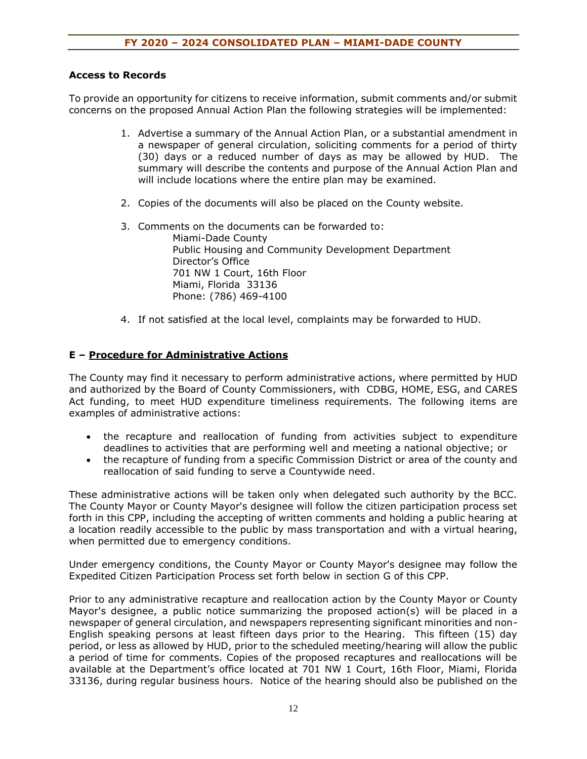#### **Access to Records**

To provide an opportunity for citizens to receive information, submit comments and/or submit concerns on the proposed Annual Action Plan the following strategies will be implemented:

- 1. Advertise a summary of the Annual Action Plan, or a substantial amendment in a newspaper of general circulation, soliciting comments for a period of thirty (30) days or a reduced number of days as may be allowed by HUD. The summary will describe the contents and purpose of the Annual Action Plan and will include locations where the entire plan may be examined.
- 2. Copies of the documents will also be placed on the County website.
- 3. Comments on the documents can be forwarded to: Miami-Dade County Public Housing and Community Development Department Director's Office 701 NW 1 Court, 16th Floor Miami, Florida 33136 Phone: (786) 469-4100
- 4. If not satisfied at the local level, complaints may be forwarded to HUD.

#### **E – Procedure for Administrative Actions**

The County may find it necessary to perform administrative actions, where permitted by HUD and authorized by the Board of County Commissioners, with CDBG, HOME, ESG, and CARES Act funding, to meet HUD expenditure timeliness requirements. The following items are examples of administrative actions:

- the recapture and reallocation of funding from activities subject to expenditure deadlines to activities that are performing well and meeting a national objective; or
- the recapture of funding from a specific Commission District or area of the county and reallocation of said funding to serve a Countywide need.

These administrative actions will be taken only when delegated such authority by the BCC. The County Mayor or County Mayor's designee will follow the citizen participation process set forth in this CPP, including the accepting of written comments and holding a public hearing at a location readily accessible to the public by mass transportation and with a virtual hearing, when permitted due to emergency conditions.

Under emergency conditions, the County Mayor or County Mayor's designee may follow the Expedited Citizen Participation Process set forth below in section G of this CPP.

Prior to any administrative recapture and reallocation action by the County Mayor or County Mayor's designee, a public notice summarizing the proposed action(s) will be placed in a newspaper of general circulation, and newspapers representing significant minorities and non-English speaking persons at least fifteen days prior to the Hearing. This fifteen (15) day period, or less as allowed by HUD, prior to the scheduled meeting/hearing will allow the public a period of time for comments. Copies of the proposed recaptures and reallocations will be available at the Department's office located at 701 NW 1 Court, 16th Floor, Miami, Florida 33136, during regular business hours. Notice of the hearing should also be published on the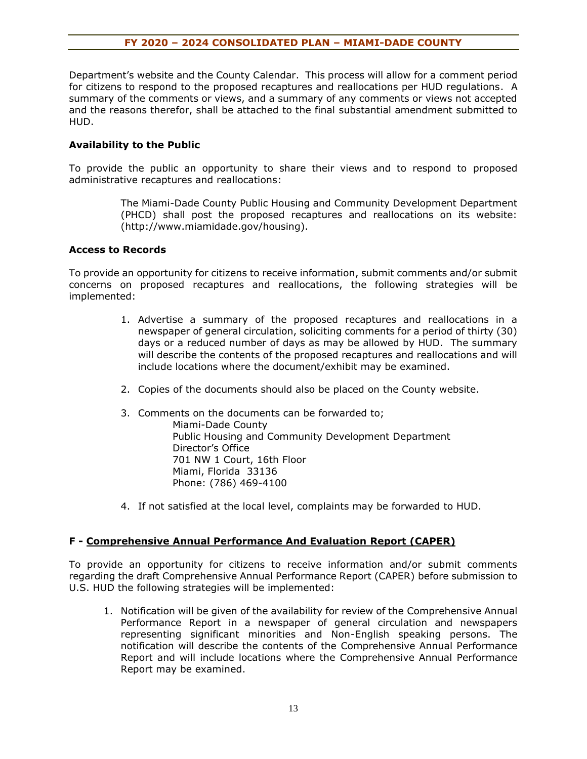Department's website and the County Calendar. This process will allow for a comment period for citizens to respond to the proposed recaptures and reallocations per HUD regulations. A summary of the comments or views, and a summary of any comments or views not accepted and the reasons therefor, shall be attached to the final substantial amendment submitted to HUD.

### **Availability to the Public**

To provide the public an opportunity to share their views and to respond to proposed administrative recaptures and reallocations:

> The Miami-Dade County Public Housing and Community Development Department (PHCD) shall post the proposed recaptures and reallocations on its website: (http://www.miamidade.gov/housing).

#### **Access to Records**

To provide an opportunity for citizens to receive information, submit comments and/or submit concerns on proposed recaptures and reallocations, the following strategies will be implemented:

- 1. Advertise a summary of the proposed recaptures and reallocations in a newspaper of general circulation, soliciting comments for a period of thirty (30) days or a reduced number of days as may be allowed by HUD. The summary will describe the contents of the proposed recaptures and reallocations and will include locations where the document/exhibit may be examined.
- 2. Copies of the documents should also be placed on the County website.
- 3. Comments on the documents can be forwarded to;

Miami-Dade County Public Housing and Community Development Department Director's Office 701 NW 1 Court, 16th Floor Miami, Florida 33136 Phone: (786) 469-4100

4. If not satisfied at the local level, complaints may be forwarded to HUD.

#### **F - Comprehensive Annual Performance And Evaluation Report (CAPER)**

To provide an opportunity for citizens to receive information and/or submit comments regarding the draft Comprehensive Annual Performance Report (CAPER) before submission to U.S. HUD the following strategies will be implemented:

1. Notification will be given of the availability for review of the Comprehensive Annual Performance Report in a newspaper of general circulation and newspapers representing significant minorities and Non-English speaking persons. The notification will describe the contents of the Comprehensive Annual Performance Report and will include locations where the Comprehensive Annual Performance Report may be examined.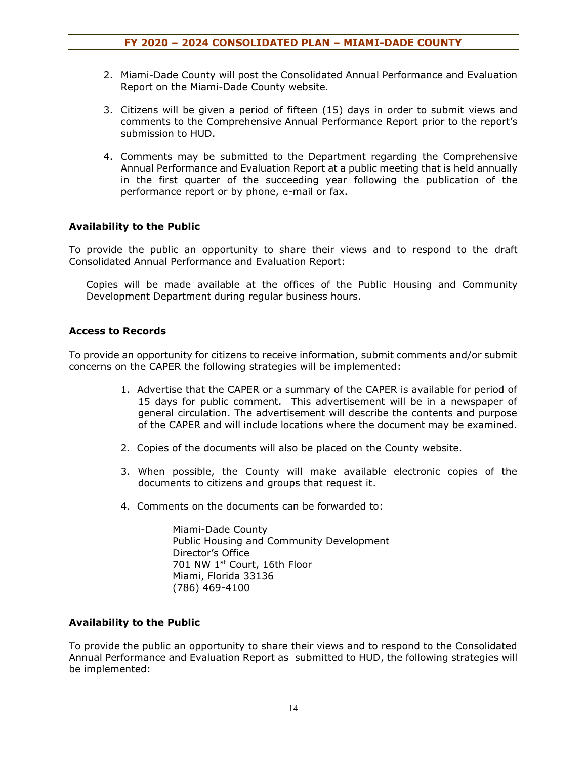- 2. Miami-Dade County will post the Consolidated Annual Performance and Evaluation Report on the Miami-Dade County website.
- 3. Citizens will be given a period of fifteen (15) days in order to submit views and comments to the Comprehensive Annual Performance Report prior to the report's submission to HUD.
- 4. Comments may be submitted to the Department regarding the Comprehensive Annual Performance and Evaluation Report at a public meeting that is held annually in the first quarter of the succeeding year following the publication of the performance report or by phone, e-mail or fax.

# **Availability to the Public**

To provide the public an opportunity to share their views and to respond to the draft Consolidated Annual Performance and Evaluation Report:

Copies will be made available at the offices of the Public Housing and Community Development Department during regular business hours.

# **Access to Records**

To provide an opportunity for citizens to receive information, submit comments and/or submit concerns on the CAPER the following strategies will be implemented:

- 1. Advertise that the CAPER or a summary of the CAPER is available for period of 15 days for public comment. This advertisement will be in a newspaper of general circulation. The advertisement will describe the contents and purpose of the CAPER and will include locations where the document may be examined.
- 2. Copies of the documents will also be placed on the County website.
- 3. When possible, the County will make available electronic copies of the documents to citizens and groups that request it.
- 4. Comments on the documents can be forwarded to:

Miami-Dade County Public Housing and Community Development Director's Office 701 NW 1st Court, 16th Floor Miami, Florida 33136 (786) 469-4100

#### **Availability to the Public**

To provide the public an opportunity to share their views and to respond to the Consolidated Annual Performance and Evaluation Report as submitted to HUD, the following strategies will be implemented: